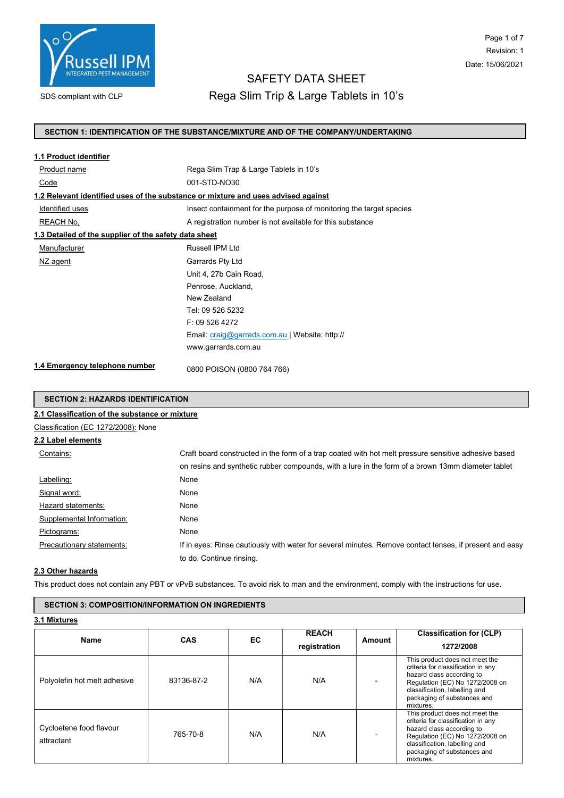

# Page 1 of 7 Revision: 1 Date: 15/06/2021

# SAFETY DATA SHEET

SDS compliant with CLP **Rega Slim Trip & Large Tablets in 10's** 

#### SECTION 1: IDENTIFICATION OF THE SUBSTANCE/MIXTURE AND OF THE COMPANY/UNDERTAKING

| 1.1 Product identifier                                                            |                                                                     |
|-----------------------------------------------------------------------------------|---------------------------------------------------------------------|
| Product name                                                                      | Rega Slim Trap & Large Tablets in 10's                              |
| Code                                                                              | 001-STD-NO30                                                        |
| 1.2 Relevant identified uses of the substance or mixture and uses advised against |                                                                     |
| Identified uses                                                                   | Insect containment for the purpose of monitoring the target species |
| REACH No,                                                                         | A registration number is not available for this substance           |
| 1.3 Detailed of the supplier of the safety data sheet                             |                                                                     |
| Manufacturer                                                                      | Russell IPM I td                                                    |
| NZ agent                                                                          | Garrards Pty Ltd                                                    |
|                                                                                   | Unit 4, 27b Cain Road,                                              |
|                                                                                   | Penrose, Auckland,                                                  |
|                                                                                   | New Zealand                                                         |
|                                                                                   | Tel: 09 526 5232                                                    |
|                                                                                   | F: 095264272                                                        |
|                                                                                   | Email: craig@garrads.com.au   Website: http://                      |
|                                                                                   | www.garrards.com.au                                                 |
| 1.4 Emergency telephone number                                                    | 0800 POISON (0800 764 766)                                          |

#### SECTION 2: HAZARDS IDENTIFICATION

# 2.1 Classification of the substance or mixture Classification (EC 1272/2008): None 2.2 Label elements Contains: Craft board constructed in the form of a trap coated with hot melt pressure sensitive adhesive based on resins and synthetic rubber compounds, with a lure in the form of a brown 13mm diameter tablet Labelling: None Signal word: None Hazard statements: None Supplemental Information: None Pictograms: None Precautionary statements: If in eyes: Rinse cautiously with water for several minutes. Remove contact lenses, if present and easy to do. Continue rinsing.

#### 2.3 Other hazards

This product does not contain any PBT or vPvB substances. To avoid risk to man and the environment, comply with the instructions for use.

## SECTION 3: COMPOSITION/INFORMATION ON INGREDIENTS

3.1 Mixtures

| <b>Name</b>                           | <b>CAS</b> | EC  | <b>REACH</b><br>registration | Amount | <b>Classification for (CLP)</b><br>1272/2008                                                                                                                                                                      |
|---------------------------------------|------------|-----|------------------------------|--------|-------------------------------------------------------------------------------------------------------------------------------------------------------------------------------------------------------------------|
| Polyolefin hot melt adhesive          | 83136-87-2 | N/A | N/A                          |        | This product does not meet the<br>criteria for classification in any<br>hazard class according to<br>Regulation (EC) No 1272/2008 on<br>classification, labelling and<br>packaging of substances and<br>mixtures. |
| Cycloetene food flavour<br>attractant | 765-70-8   | N/A | N/A                          |        | This product does not meet the<br>criteria for classification in any<br>hazard class according to<br>Regulation (EC) No 1272/2008 on<br>classification, labelling and<br>packaging of substances and<br>mixtures. |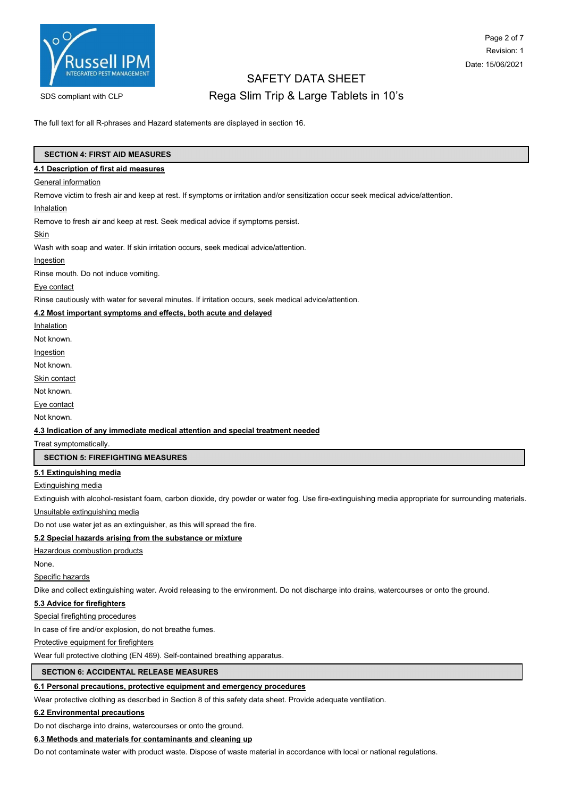

# Page 2 of 7 Revision: 1 Date: 15/06/2021

# SAFETY DATA SHEET SDS compliant with CLP **Rega Slim Trip & Large Tablets in 10's**

The full text for all R-phrases and Hazard statements are displayed in section 16.

#### SECTION 4: FIRST AID MEASURES

#### 4.1 Description of first aid measures

#### **General information**

Remove victim to fresh air and keep at rest. If symptoms or irritation and/or sensitization occur seek medical advice/attention.

#### Inhalation

Remove to fresh air and keep at rest. Seek medical advice if symptoms persist.

#### Skin

Wash with soap and water. If skin irritation occurs, seek medical advice/attention.

Ingestion

Rinse mouth. Do not induce vomiting.

Eye contact

Rinse cautiously with water for several minutes. If irritation occurs, seek medical advice/attention.

#### 4.2 Most important symptoms and effects, both acute and delayed

**Inhalation** 

Not known.

Ingestion

Not known.

Skin contact

Not known.

Eye contact

Not known.

#### 4.3 Indication of any immediate medical attention and special treatment needed

Treat symptomatically.

#### SECTION 5: FIREFIGHTING MEASURES

#### 5.1 Extinguishing media

Extinguishing media

Extinguish with alcohol-resistant foam, carbon dioxide, dry powder or water fog. Use fire-extinguishing media appropriate for surrounding materials.

# Unsuitable extinguishing media

Do not use water jet as an extinguisher, as this will spread the fire.

#### 5.2 Special hazards arising from the substance or mixture

Hazardous combustion products

None.

Specific hazards

Dike and collect extinguishing water. Avoid releasing to the environment. Do not discharge into drains, watercourses or onto the ground.

#### 5.3 Advice for firefighters

Special firefighting procedures

In case of fire and/or explosion, do not breathe fumes.

Protective equipment for firefighters

Wear full protective clothing (EN 469). Self-contained breathing apparatus.

### SECTION 6: ACCIDENTAL RELEASE MEASURES

#### 6.1 Personal precautions, protective equipment and emergency procedures

Wear protective clothing as described in Section 8 of this safety data sheet. Provide adequate ventilation.

#### 6.2 Environmental precautions

Do not discharge into drains, watercourses or onto the ground.

#### 6.3 Methods and materials for contaminants and cleaning up

Do not contaminate water with product waste. Dispose of waste material in accordance with local or national regulations.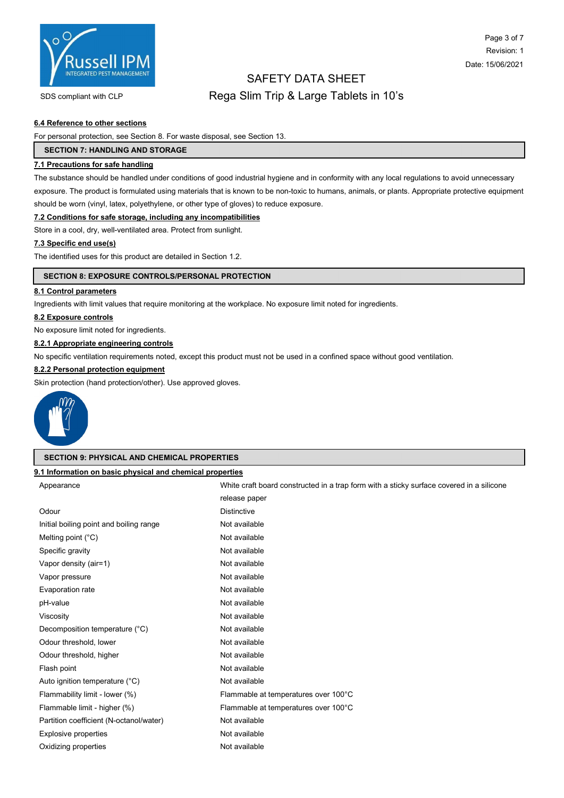

# Page 3 of 7 Revision: 1 Date: 15/06/2021

# SAFETY DATA SHEET

# SDS compliant with CLP **Rega Slim Trip & Large Tablets in 10's**

## 6.4 Reference to other sections

For personal protection, see Section 8. For waste disposal, see Section 13.

## SECTION 7: HANDLING AND STORAGE

## 7.1 Precautions for safe handling

The substance should be handled under conditions of good industrial hygiene and in conformity with any local regulations to avoid unnecessary exposure. The product is formulated using materials that is known to be non-toxic to humans, animals, or plants. Appropriate protective equipment should be worn (vinyl, latex, polyethylene, or other type of gloves) to reduce exposure.

#### 7.2 Conditions for safe storage, including any incompatibilities

Store in a cool, dry, well-ventilated area. Protect from sunlight.

## 7.3 Specific end use(s)

The identified uses for this product are detailed in Section 1.2.

#### SECTION 8: EXPOSURE CONTROLS/PERSONAL PROTECTION

#### 8.1 Control parameters

Ingredients with limit values that require monitoring at the workplace. No exposure limit noted for ingredients.

#### 8.2 Exposure controls

No exposure limit noted for ingredients.

#### 8.2.1 Appropriate engineering controls

No specific ventilation requirements noted, except this product must not be used in a confined space without good ventilation.

## 8.2.2 Personal protection equipment

Skin protection (hand protection/other). Use approved gloves.



#### SECTION 9: PHYSICAL AND CHEMICAL PROPERTIES

## 9.1 Information on basic physical and chemical properties

| Appearance                              | White craft board constructed in a trap form with a sticky surface covered in a silicone |  |
|-----------------------------------------|------------------------------------------------------------------------------------------|--|
|                                         | release paper                                                                            |  |
| Odour                                   | <b>Distinctive</b>                                                                       |  |
| Initial boiling point and boiling range | Not available                                                                            |  |
| Melting point $(^{\circ}C)$             | Not available                                                                            |  |
| Specific gravity                        | Not available                                                                            |  |
| Vapor density (air=1)                   | Not available                                                                            |  |
| Vapor pressure                          | Not available                                                                            |  |
| Evaporation rate                        | Not available                                                                            |  |
| pH-value                                | Not available                                                                            |  |
| Viscosity                               | Not available                                                                            |  |
| Decomposition temperature (°C)          | Not available                                                                            |  |
| Odour threshold, lower                  | Not available                                                                            |  |
| Odour threshold, higher                 | Not available                                                                            |  |
| Flash point                             | Not available                                                                            |  |
| Auto ignition temperature (°C)          | Not available                                                                            |  |
| Flammability limit - lower (%)          | Flammable at temperatures over 100°C                                                     |  |
| Flammable limit - higher (%)            | Flammable at temperatures over 100°C                                                     |  |
| Partition coefficient (N-octanol/water) | Not available                                                                            |  |
| <b>Explosive properties</b>             | Not available                                                                            |  |
| Oxidizing properties                    | Not available                                                                            |  |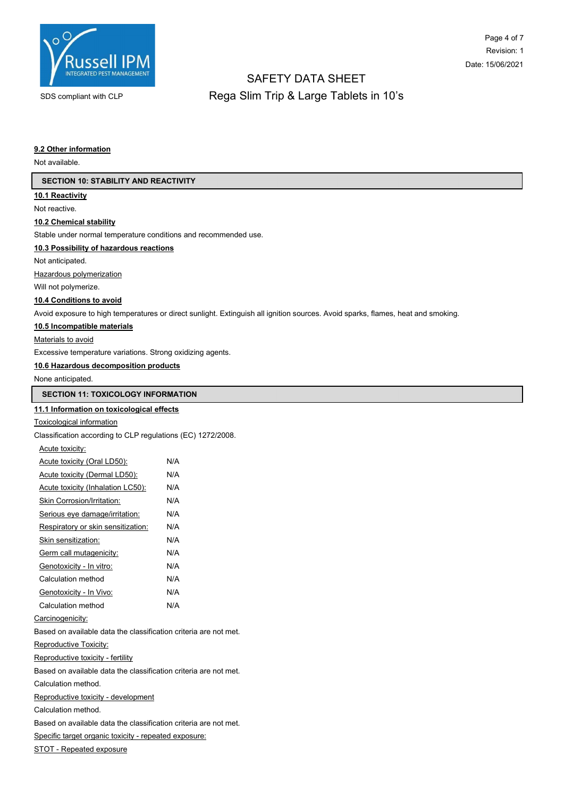

# SAFETY DATA SHEET SDS compliant with CLP **Rega Slim Trip & Large Tablets in 10's**

#### 9.2 Other information

Not available.

| <b>SECTION 10: STABILITY AND REACTIVITY</b>                     |                                                                                                                                  |  |  |
|-----------------------------------------------------------------|----------------------------------------------------------------------------------------------------------------------------------|--|--|
| 10.1 Reactivity                                                 |                                                                                                                                  |  |  |
| Not reactive.                                                   |                                                                                                                                  |  |  |
| 10.2 Chemical stability                                         |                                                                                                                                  |  |  |
| Stable under normal temperature conditions and recommended use. |                                                                                                                                  |  |  |
| 10.3 Possibility of hazardous reactions                         |                                                                                                                                  |  |  |
| Not anticipated.                                                |                                                                                                                                  |  |  |
| Hazardous polymerization                                        |                                                                                                                                  |  |  |
| Will not polymerize.                                            |                                                                                                                                  |  |  |
| 10.4 Conditions to avoid                                        |                                                                                                                                  |  |  |
|                                                                 | Avoid exposure to high temperatures or direct sunlight. Extinguish all ignition sources. Avoid sparks, flames, heat and smoking. |  |  |
| 10.5 Incompatible materials                                     |                                                                                                                                  |  |  |
| Materials to avoid                                              |                                                                                                                                  |  |  |
| Excessive temperature variations. Strong oxidizing agents.      |                                                                                                                                  |  |  |
| 10.6 Hazardous decomposition products                           |                                                                                                                                  |  |  |
| None anticipated.                                               |                                                                                                                                  |  |  |
| <b>SECTION 11: TOXICOLOGY INFORMATION</b>                       |                                                                                                                                  |  |  |
| 11.1 Information on toxicological effects                       |                                                                                                                                  |  |  |
| <b>Toxicological information</b>                                |                                                                                                                                  |  |  |
| Classification according to CLP regulations (EC) 1272/2008.     |                                                                                                                                  |  |  |
| Acute toxicity:                                                 |                                                                                                                                  |  |  |
| Acute toxicity (Oral LD50):                                     | N/A                                                                                                                              |  |  |
| Acute toxicity (Dermal LD50):                                   | N/A                                                                                                                              |  |  |
| Acute toxicity (Inhalation LC50):                               | N/A                                                                                                                              |  |  |
| <b>Skin Corrosion/Irritation:</b>                               | N/A                                                                                                                              |  |  |
| Serious eye damage/irritation:                                  | N/A                                                                                                                              |  |  |
| Respiratory or skin sensitization:                              | N/A                                                                                                                              |  |  |
| Skin sensitization:                                             | N/A                                                                                                                              |  |  |
| Germ call mutagenicity:                                         | N/A                                                                                                                              |  |  |
| Genotoxicity - In vitro:                                        | N/A                                                                                                                              |  |  |
| Calculation method                                              | N/A                                                                                                                              |  |  |
| Genotoxicity - In Vivo:                                         | N/A                                                                                                                              |  |  |
| Calculation method                                              | N/A                                                                                                                              |  |  |

Carcinogenicity:

Based on available data the classification criteria are not met.

Reproductive Toxicity:

Reproductive toxicity - fertility

Based on available data the classification criteria are not met.

Calculation method.

Reproductive toxicity - development

Calculation method.

Based on available data the classification criteria are not met.

Specific target organic toxicity - repeated exposure:

STOT - Repeated exposure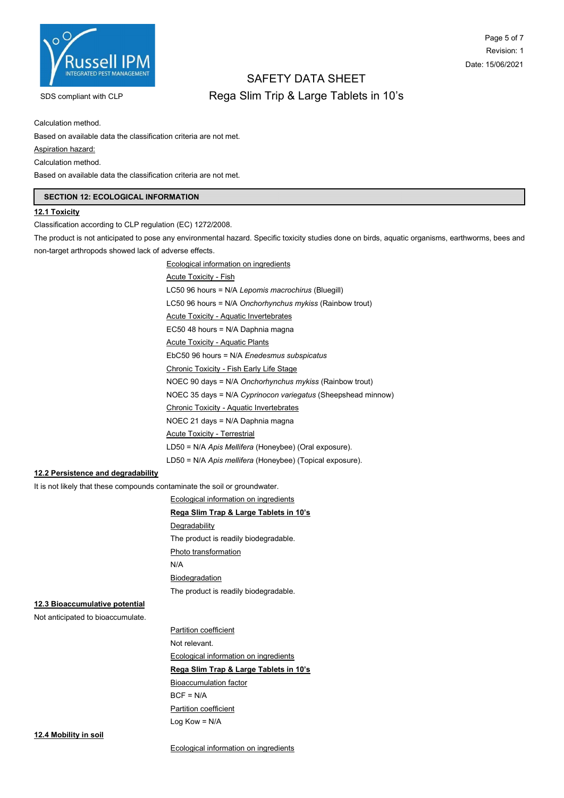

# Page 5 of 7 Revision: 1 Date: 15/06/2021

# SAFETY DATA SHEET SDS compliant with CLP **Rega Slim Trip & Large Tablets in 10's**

Calculation method.

Based on available data the classification criteria are not met.

Aspiration hazard:

Calculation method.

Based on available data the classification criteria are not met.

#### SECTION 12: ECOLOGICAL INFORMATION

#### 12.1 Toxicity

Classification according to CLP regulation (EC) 1272/2008.

The product is not anticipated to pose any environmental hazard. Specific toxicity studies done on birds, aquatic organisms, earthworms, bees and non-target arthropods showed lack of adverse effects.

> Ecological information on ingredients Acute Toxicity - Fish LC50 96 hours = N/A Lepomis macrochirus (Bluegill) LC50 96 hours = N/A Onchorhynchus mykiss (Rainbow trout) Acute Toxicity - Aquatic Invertebrates EC50 48 hours = N/A Daphnia magna Acute Toxicity - Aquatic Plants EbC50 96 hours = N/A Enedesmus subspicatus Chronic Toxicity - Fish Early Life Stage NOEC 90 days = N/A Onchorhynchus mykiss (Rainbow trout) NOEC 35 days = N/A Cyprinocon variegatus (Sheepshead minnow) Chronic Toxicity - Aquatic Invertebrates NOEC 21 days = N/A Daphnia magna Acute Toxicity - Terrestrial LD50 = N/A Apis Mellifera (Honeybee) (Oral exposure). LD50 = N/A Apis mellifera (Honeybee) (Topical exposure).

### 12.2 Persistence and degradability

It is not likely that these compounds contaminate the soil or groundwater.

Ecological information on ingredients Rega Slim Trap & Large Tablets in 10's **Degradability** The product is readily biodegradable. Photo transformation N/A Biodegradation The product is readily biodegradable.

## 12.3 Bioaccumulative potential

Not anticipated to bioaccumulate.

Partition coefficient Not relevant. Ecological information on ingredients Rega Slim Trap & Large Tablets in 10's Bioaccumulation factor  $BCF = N/A$ Partition coefficient Log Kow = N/A

12.4 Mobility in soil

Ecological information on ingredients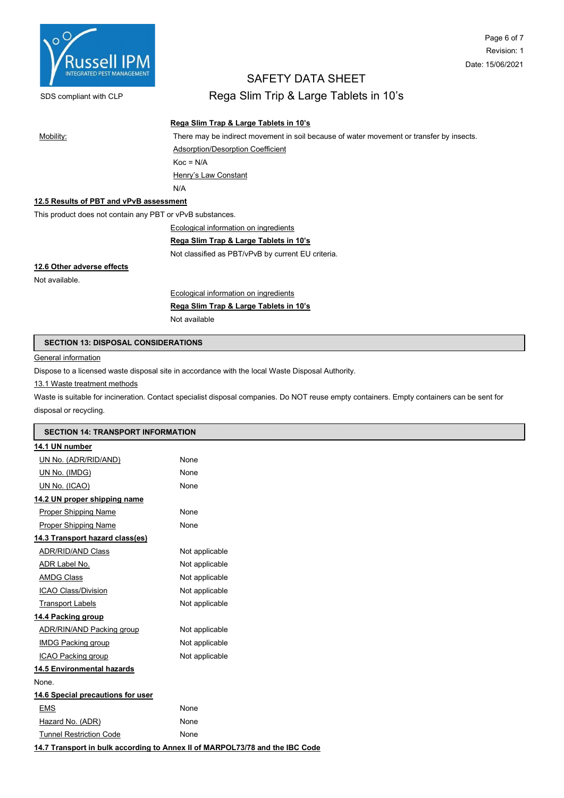

# Page 6 of 7 Revision: 1 Date: 15/06/2021

# SAFETY DATA SHEET

SDS compliant with CLP **Rega Slim Trip & Large Tablets in 10's** 

## Rega Slim Trap & Large Tablets in 10's

Mobility: There may be indirect movement in soil because of water movement or transfer by insects.

Adsorption/Desorption Coefficient  $Koc = N/A$ Henry's Law Constant

N/A

## 12.5 Results of PBT and vPvB assessment

This product does not contain any PBT or vPvB substances.

Ecological information on ingredients

#### Rega Slim Trap & Large Tablets in 10's

Not classified as PBT/vPvB by current EU criteria.

## 12.6 Other adverse effects

Not available.

Ecological information on ingredients

Rega Slim Trap & Large Tablets in 10's

Not available

#### SECTION 13: DISPOSAL CONSIDERATIONS

#### General information

Dispose to a licensed waste disposal site in accordance with the local Waste Disposal Authority.

13.1 Waste treatment methods

Waste is suitable for incineration. Contact specialist disposal companies. Do NOT reuse empty containers. Empty containers can be sent for disposal or recycling.

| <b>SECTION 14: TRANSPORT INFORMATION</b> |                                                                              |  |  |  |
|------------------------------------------|------------------------------------------------------------------------------|--|--|--|
| 14.1 UN number                           |                                                                              |  |  |  |
| UN No. (ADR/RID/AND)                     | None                                                                         |  |  |  |
| UN No. (IMDG)                            | None                                                                         |  |  |  |
| UN No. (ICAO)                            | None                                                                         |  |  |  |
| 14.2 UN proper shipping name             |                                                                              |  |  |  |
| <b>Proper Shipping Name</b>              | None                                                                         |  |  |  |
| <b>Proper Shipping Name</b>              | None                                                                         |  |  |  |
| 14.3 Transport hazard class(es)          |                                                                              |  |  |  |
| ADR/RID/AND Class                        | Not applicable                                                               |  |  |  |
| ADR Label No.                            | Not applicable                                                               |  |  |  |
| <b>AMDG Class</b>                        | Not applicable                                                               |  |  |  |
| <b>ICAO Class/Division</b>               | Not applicable                                                               |  |  |  |
| <b>Transport Labels</b>                  | Not applicable                                                               |  |  |  |
| 14.4 Packing group                       |                                                                              |  |  |  |
| <b>ADR/RIN/AND Packing group</b>         | Not applicable                                                               |  |  |  |
| <b>IMDG Packing group</b>                | Not applicable                                                               |  |  |  |
| ICAO Packing group                       | Not applicable                                                               |  |  |  |
| 14.5 Environmental hazards               |                                                                              |  |  |  |
| None.                                    |                                                                              |  |  |  |
| 14.6 Special precautions for user        |                                                                              |  |  |  |
| <b>EMS</b>                               | None                                                                         |  |  |  |
| Hazard No. (ADR)                         | None                                                                         |  |  |  |
| <b>Tunnel Restriction Code</b>           | None                                                                         |  |  |  |
|                                          | 14.7 Transport in bulk according to Annex II of MARPOL73/78 and the IBC Code |  |  |  |